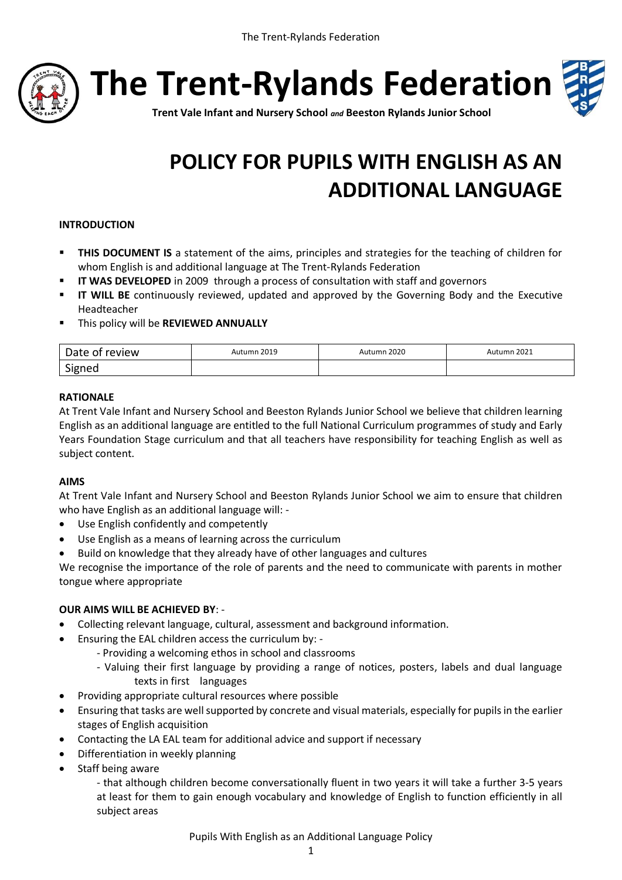

**The Trent-Rylands Federation**



**Trent Vale Infant and Nursery School** *and* **Beeston Rylands Junior School**

# **POLICY FOR PUPILS WITH ENGLISH AS AN ADDITIONAL LANGUAGE**

#### **INTRODUCTION**

- **THIS DOCUMENT IS** a statement of the aims, principles and strategies for the teaching of children for whom English is and additional language at The Trent-Rylands Federation
- **II WAS DEVELOPED** in 2009 through a process of consultation with staff and governors
- **II WILL BE** continuously reviewed, updated and approved by the Governing Body and the Executive Headteacher
- This policy will be **REVIEWED ANNUALLY**

| Date of review                 | Autumn 2019 | Autumn 2020<br>___ | Autumn 2021 |
|--------------------------------|-------------|--------------------|-------------|
| $\ddot{\phantom{1}}$<br>Signed |             |                    |             |

#### **RATIONALE**

At Trent Vale Infant and Nursery School and Beeston Rylands Junior School we believe that children learning English as an additional language are entitled to the full National Curriculum programmes of study and Early Years Foundation Stage curriculum and that all teachers have responsibility for teaching English as well as subject content.

#### **AIMS**

At Trent Vale Infant and Nursery School and Beeston Rylands Junior School we aim to ensure that children who have English as an additional language will: -

- Use English confidently and competently
- Use English as a means of learning across the curriculum
- Build on knowledge that they already have of other languages and cultures

We recognise the importance of the role of parents and the need to communicate with parents in mother tongue where appropriate

#### **OUR AIMS WILL BE ACHIEVED BY**: -

- Collecting relevant language, cultural, assessment and background information.
- Ensuring the EAL children access the curriculum by:
	- Providing a welcoming ethos in school and classrooms
	- Valuing their first language by providing a range of notices, posters, labels and dual language texts in first languages
- Providing appropriate cultural resources where possible
- Ensuring that tasks are well supported by concrete and visual materials, especially for pupils in the earlier stages of English acquisition
- Contacting the LA EAL team for additional advice and support if necessary
- Differentiation in weekly planning
- Staff being aware

- that although children become conversationally fluent in two years it will take a further 3-5 years at least for them to gain enough vocabulary and knowledge of English to function efficiently in all subject areas

Pupils With English as an Additional Language Policy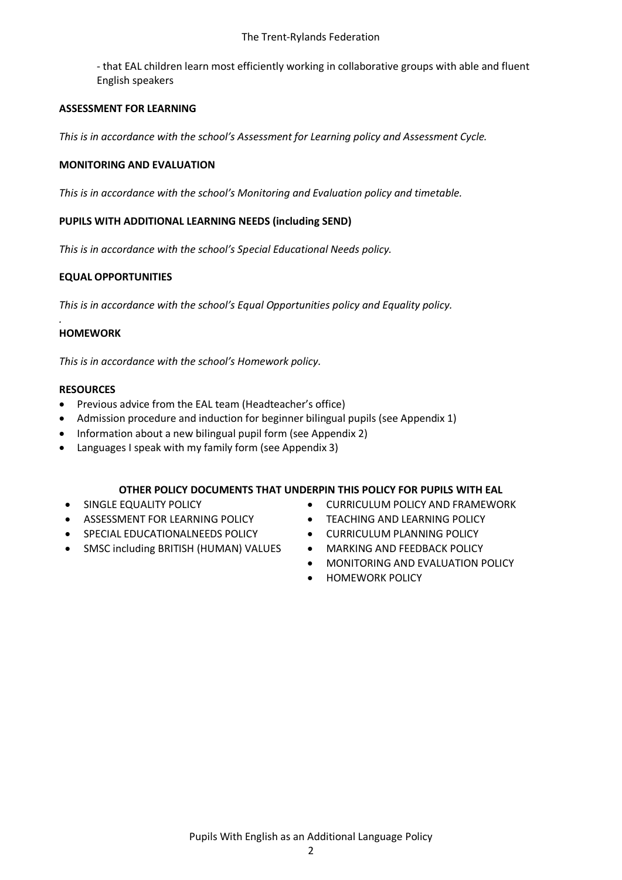- that EAL children learn most efficiently working in collaborative groups with able and fluent English speakers

#### **ASSESSMENT FOR LEARNING**

*This is in accordance with the school's Assessment for Learning policy and Assessment Cycle.*

#### **MONITORING AND EVALUATION**

*This is in accordance with the school's Monitoring and Evaluation policy and timetable.*

#### **PUPILS WITH ADDITIONAL LEARNING NEEDS (including SEND)**

*This is in accordance with the school's Special Educational Needs policy.*

#### **EQUAL OPPORTUNITIES**

*This is in accordance with the school's Equal Opportunities policy and Equality policy.*

#### **HOMEWORK**

*.*

*This is in accordance with the school's Homework policy.*

#### **RESOURCES**

- Previous advice from the EAL team (Headteacher's office)
- Admission procedure and induction for beginner bilingual pupils (see Appendix 1)
- Information about a new bilingual pupil form (see Appendix 2)
- Languages I speak with my family form (see Appendix 3)

#### **OTHER POLICY DOCUMENTS THAT UNDERPIN THIS POLICY FOR PUPILS WITH EAL**

- **SINGLE EQUALITY POLICY**
- **ASSESSMENT FOR LEARNING POLICY**
- **SPECIAL EDUCATIONALNEEDS POLICY**
- SMSC including BRITISH (HUMAN) VALUES
- **CURRICULUM POLICY AND FRAMEWORK**
- **TEACHING AND LEARNING POLICY**
- **CURRICULUM PLANNING POLICY**
- **MARKING AND FEEDBACK POLICY** 
	- **MONITORING AND EVALUATION POLICY**
	- **HOMEWORK POLICY**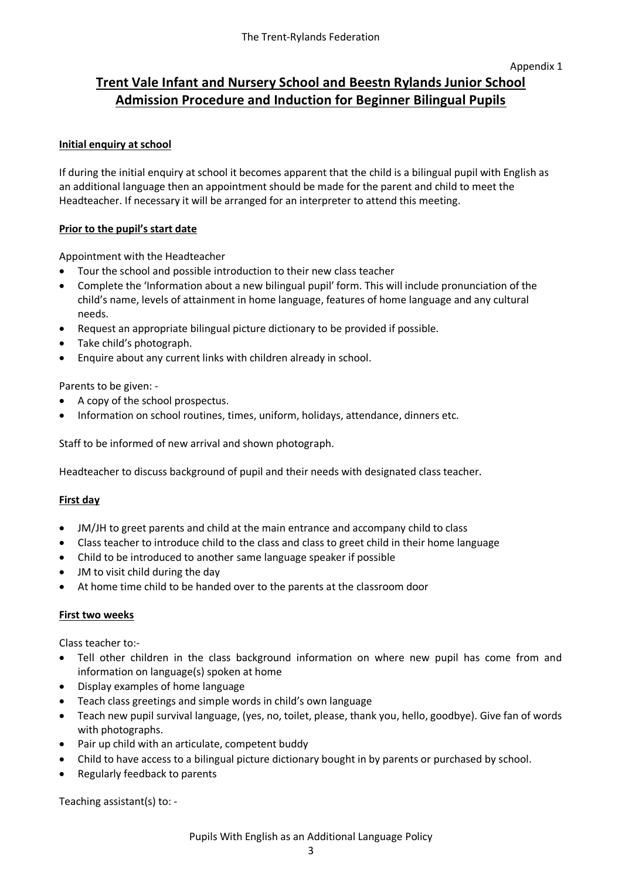#### Appendix 1

### **Trent Vale Infant and Nursery School and Beestn Rylands Junior School Admission Procedure and Induction for Beginner Bilingual Pupils**

#### **Initial enquiry at school**

If during the initial enquiry at school it becomes apparent that the child is a bilingual pupil with English as an additional language then an appointment should be made for the parent and child to meet the Headteacher. If necessary it will be arranged for an interpreter to attend this meeting.

#### **Prior to the pupil's start date**

Appointment with the Headteacher

- Tour the school and possible introduction to their new class teacher
- Complete the 'Information about a new bilingual pupil' form. This will include pronunciation of the child's name, levels of attainment in home language, features of home language and any cultural needs.
- Request an appropriate bilingual picture dictionary to be provided if possible.
- Take child's photograph.
- Enquire about any current links with children already in school.

Parents to be given: -

- A copy of the school prospectus.
- Information on school routines, times, uniform, holidays, attendance, dinners etc.

Staff to be informed of new arrival and shown photograph.

Headteacher to discuss background of pupil and their needs with designated class teacher.

#### **First day**

- JM/JH to greet parents and child at the main entrance and accompany child to class
- Class teacher to introduce child to the class and class to greet child in their home language
- Child to be introduced to another same language speaker if possible
- JM to visit child during the day
- At home time child to be handed over to the parents at the classroom door

#### **First two weeks**

Class teacher to:-

- Tell other children in the class background information on where new pupil has come from and information on language(s) spoken at home
- Display examples of home language
- Teach class greetings and simple words in child's own language
- Teach new pupil survival language, (yes, no, toilet, please, thank you, hello, goodbye). Give fan of words with photographs.
- Pair up child with an articulate, competent buddy
- Child to have access to a bilingual picture dictionary bought in by parents or purchased by school.
- Regularly feedback to parents

Teaching assistant(s) to: -

Pupils With English as an Additional Language Policy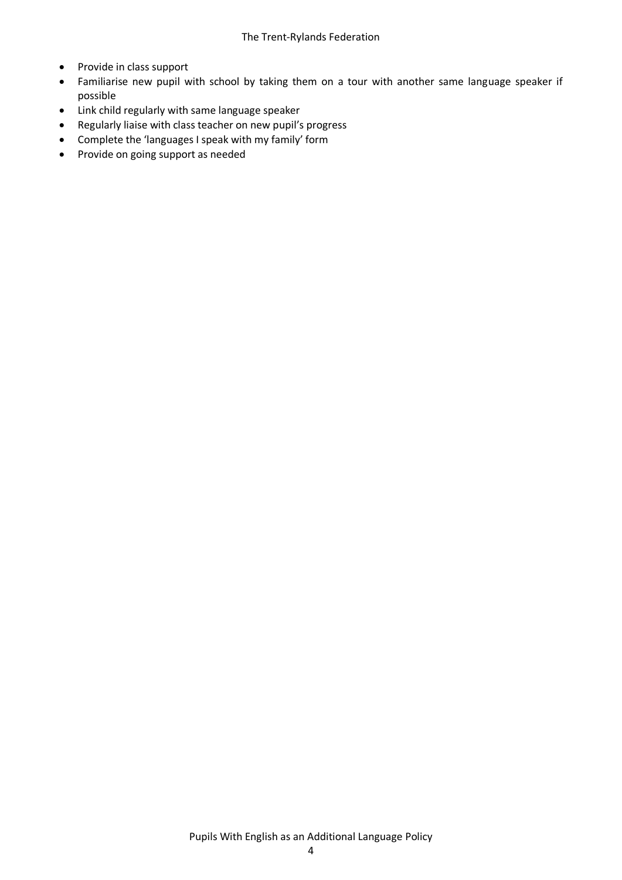- Provide in class support
- Familiarise new pupil with school by taking them on a tour with another same language speaker if possible
- Link child regularly with same language speaker
- Regularly liaise with class teacher on new pupil's progress
- Complete the 'languages I speak with my family' form
- Provide on going support as needed